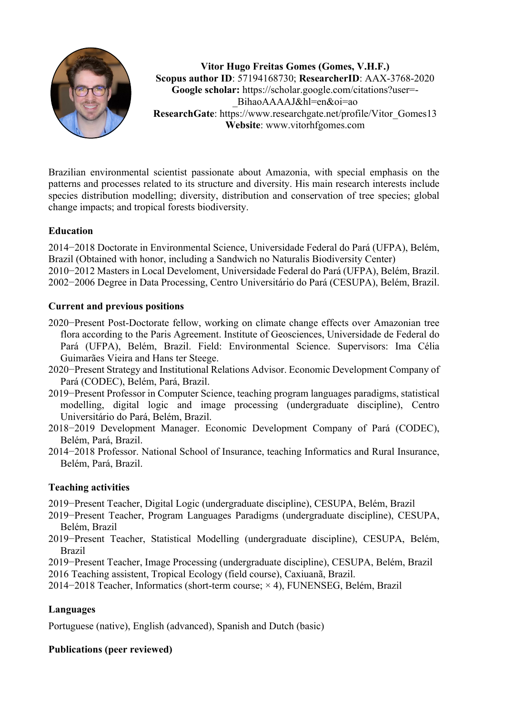

**Vitor Hugo Freitas Gomes (Gomes, V.H.F.) Scopus author ID**: 57194168730; **ResearcherID**: AAX-3768-2020 **Google scholar:** https://scholar.google.com/citations?user=- \_BihaoAAAAJ&hl=en&oi=ao **ResearchGate**: https://www.researchgate.net/profile/Vitor\_Gomes13 **Website**: www.vitorhfgomes.com

Brazilian environmental scientist passionate about Amazonia, with special emphasis on the patterns and processes related to its structure and diversity. His main research interests include species distribution modelling; diversity, distribution and conservation of tree species; global change impacts; and tropical forests biodiversity.

# **Education**

2014−2018 Doctorate in Environmental Science, Universidade Federal do Pará (UFPA), Belém, Brazil (Obtained with honor, including a Sandwich no Naturalis Biodiversity Center) 2010−2012 Masters in Local Develoment, Universidade Federal do Pará (UFPA), Belém, Brazil. 2002−2006 Degree in Data Processing, Centro Universitário do Pará (CESUPA), Belém, Brazil.

## **Current and previous positions**

- 2020−Present Post-Doctorate fellow, working on climate change effects over Amazonian tree flora according to the Paris Agreement. Institute of Geosciences, Universidade de Federal do Pará (UFPA), Belém, Brazil. Field: Environmental Science. Supervisors: Ima Célia Guimarães Vieira and Hans ter Steege.
- 2020−Present Strategy and Institutional Relations Advisor. Economic Development Company of Pará (CODEC), Belém, Pará, Brazil.
- 2019−Present Professor in Computer Science, teaching program languages paradigms, statistical modelling, digital logic and image processing (undergraduate discipline), Centro Universitário do Pará, Belém, Brazil.
- 2018−2019 Development Manager. Economic Development Company of Pará (CODEC), Belém, Pará, Brazil.
- 2014−2018 Professor. National School of Insurance, teaching Informatics and Rural Insurance, Belém, Pará, Brazil.

## **Teaching activities**

- 2019−Present Teacher, Digital Logic (undergraduate discipline), CESUPA, Belém, Brazil
- 2019−Present Teacher, Program Languages Paradigms (undergraduate discipline), CESUPA, Belém, Brazil
- 2019−Present Teacher, Statistical Modelling (undergraduate discipline), CESUPA, Belém, Brazil
- 2019−Present Teacher, Image Processing (undergraduate discipline), CESUPA, Belém, Brazil
- 2016 Teaching assistent, Tropical Ecology (field course), Caxiuanã, Brazil.
- 2014−2018 Teacher, Informatics (short-term course; × 4), FUNENSEG, Belém, Brazil

## **Languages**

Portuguese (native), English (advanced), Spanish and Dutch (basic)

## **Publications (peer reviewed)**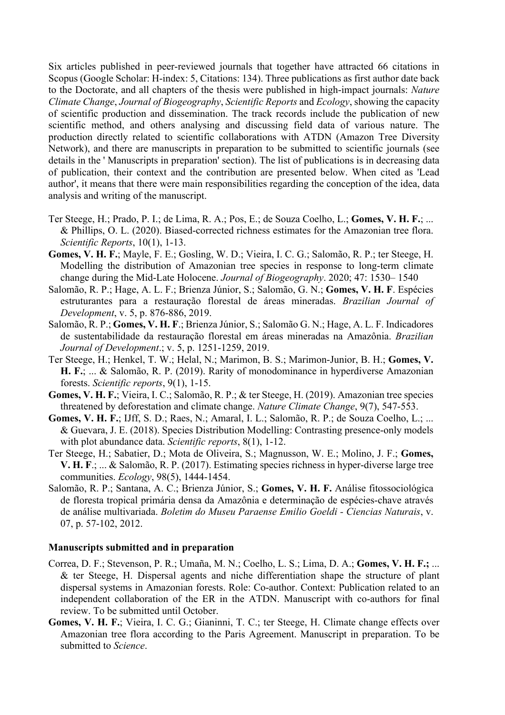Six articles published in peer-reviewed journals that together have attracted 66 citations in Scopus (Google Scholar: H-index: 5, Citations: 134). Three publications as first author date back to the Doctorate, and all chapters of the thesis were published in high-impact journals: *Nature Climate Change*, *Journal of Biogeography*, *Scientific Reports* and *Ecology*, showing the capacity of scientific production and dissemination. The track records include the publication of new scientific method, and others analysing and discussing field data of various nature. The production directly related to scientific collaborations with ATDN (Amazon Tree Diversity Network), and there are manuscripts in preparation to be submitted to scientific journals (see details in the ' Manuscripts in preparation' section). The list of publications is in decreasing data of publication, their context and the contribution are presented below. When cited as 'Lead author', it means that there were main responsibilities regarding the conception of the idea, data analysis and writing of the manuscript.

- Ter Steege, H.; Prado, P. I.; de Lima, R. A.; Pos, E.; de Souza Coelho, L.; **Gomes, V. H. F.**; ... & Phillips, O. L. (2020). Biased-corrected richness estimates for the Amazonian tree flora. *Scientific Reports*, 10(1), 1-13.
- **Gomes, V. H. F.**; Mayle, F. E.; Gosling, W. D.; Vieira, I. C. G.; Salomão, R. P.; ter Steege, H. Modelling the distribution of Amazonian tree species in response to long‐term climate change during the Mid‐Late Holocene. *Journal of Biogeography*. 2020; 47: 1530– 1540
- Salomão, R. P.; Hage, A. L. F.; Brienza Júnior, S.; Salomão, G. N.; **Gomes, V. H. F**. Espécies estruturantes para a restauração florestal de áreas mineradas. *Brazilian Journal of Development*, v. 5, p. 876-886, 2019.
- Salomão, R. P.; **Gomes, V. H. F**.; Brienza Júnior, S.; Salomão G. N.; Hage, A. L. F. Indicadores de sustentabilidade da restauração florestal em áreas mineradas na Amazônia. *Brazilian Journal of Development*.; v. 5, p. 1251-1259, 2019.
- Ter Steege, H.; Henkel, T. W.; Helal, N.; Marimon, B. S.; Marimon-Junior, B. H.; **Gomes, V. H. F.**; ... & Salomão, R. P. (2019). Rarity of monodominance in hyperdiverse Amazonian forests. *Scientific reports*, 9(1), 1-15.
- **Gomes, V. H. F.**; Vieira, I. C.; Salomão, R. P.; & ter Steege, H. (2019). Amazonian tree species threatened by deforestation and climate change. *Nature Climate Change*, 9(7), 547-553.
- **Gomes, V. H. F.**; IJff, S. D.; Raes, N.; Amaral, I. L.; Salomão, R. P.; de Souza Coelho, L.; ... & Guevara, J. E. (2018). Species Distribution Modelling: Contrasting presence-only models with plot abundance data. *Scientific reports*, 8(1), 1-12.
- Ter Steege, H.; Sabatier, D.; Mota de Oliveira, S.; Magnusson, W. E.; Molino, J. F.; **Gomes, V. H. F**.; ... & Salomão, R. P. (2017). Estimating species richness in hyper‐diverse large tree communities. *Ecology*, 98(5), 1444-1454.
- Salomão, R. P.; Santana, A. C.; Brienza Júnior, S.; **Gomes, V. H. F.** Análise fitossociológica de floresta tropical primária densa da Amazônia e determinação de espécies-chave através de análise multivariada. *Boletim do Museu Paraense Emilio Goeldi - Ciencias Naturais*, v. 07, p. 57-102, 2012.

#### **Manuscripts submitted and in preparation**

- Correa, D. F.; Stevenson, P. R.; Umaña, M. N.; Coelho, L. S.; Lima, D. A.; **Gomes, V. H. F.;** ... & ter Steege, H. Dispersal agents and niche differentiation shape the structure of plant dispersal systems in Amazonian forests. Role: Co-author. Context: Publication related to an independent collaboration of the ER in the ATDN. Manuscript with co-authors for final review. To be submitted until October.
- **Gomes, V. H. F.**; Vieira, I. C. G.; Gianinni, T. C.; ter Steege, H. Climate change effects over Amazonian tree flora according to the Paris Agreement. Manuscript in preparation. To be submitted to *Science*.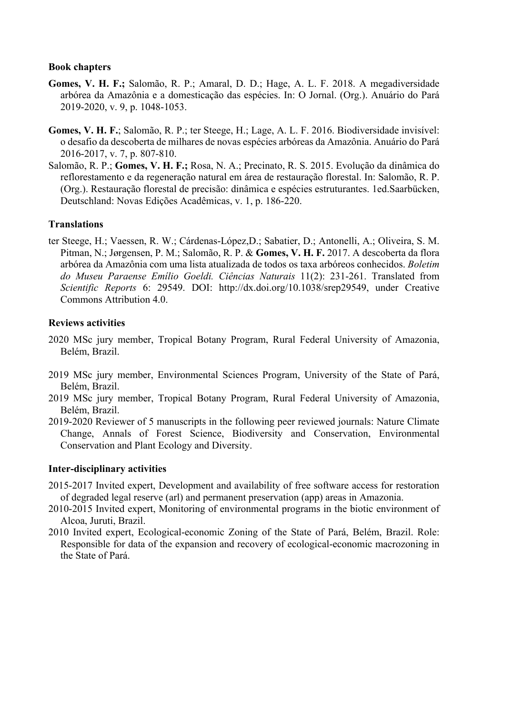#### **Book chapters**

- **Gomes, V. H. F.;** Salomão, R. P.; Amaral, D. D.; Hage, A. L. F. 2018. A megadiversidade arbórea da Amazônia e a domesticação das espécies. In: O Jornal. (Org.). Anuário do Pará 2019-2020, v. 9, p. 1048-1053.
- **Gomes, V. H. F.**; Salomão, R. P.; ter Steege, H.; Lage, A. L. F. 2016. Biodiversidade invisível: o desafio da descoberta de milhares de novas espécies arbóreas da Amazônia. Anuário do Pará 2016-2017, v. 7, p. 807-810.
- Salomão, R. P.; **Gomes, V. H. F.;** Rosa, N. A.; Precinato, R. S. 2015. Evolução da dinâmica do reflorestamento e da regeneração natural em área de restauração florestal. In: Salomão, R. P. (Org.). Restauração florestal de precisão: dinâmica e espécies estruturantes. 1ed.Saarbücken, Deutschland: Novas Edições Acadêmicas, v. 1, p. 186-220.

#### **Translations**

ter Steege, H.; Vaessen, R. W.; Cárdenas-López,D.; Sabatier, D.; Antonelli, A.; Oliveira, S. M. Pitman, N.; Jørgensen, P. M.; Salomão, R. P. & **Gomes, V. H. F.** 2017. A descoberta da flora arbórea da Amazônia com uma lista atualizada de todos os taxa arbóreos conhecidos. *Boletim do Museu Paraense Emílio Goeldi. Ciências Naturais* 11(2): 231-261. Translated from *Scientific Reports* 6: 29549. DOI: http://dx.doi.org/10.1038/srep29549, under Creative Commons Attribution 4.0.

#### **Reviews activities**

- 2020 MSc jury member, Tropical Botany Program, Rural Federal University of Amazonia, Belém, Brazil.
- 2019 MSc jury member, Environmental Sciences Program, University of the State of Pará, Belém, Brazil.
- 2019 MSc jury member, Tropical Botany Program, Rural Federal University of Amazonia, Belém, Brazil.
- 2019-2020 Reviewer of 5 manuscripts in the following peer reviewed journals: Nature Climate Change, Annals of Forest Science, Biodiversity and Conservation, Environmental Conservation and Plant Ecology and Diversity.

### **Inter-disciplinary activities**

- 2015-2017 Invited expert, Development and availability of free software access for restoration of degraded legal reserve (arl) and permanent preservation (app) areas in Amazonia.
- 2010-2015 Invited expert, Monitoring of environmental programs in the biotic environment of Alcoa, Juruti, Brazil.
- 2010 Invited expert, Ecological-economic Zoning of the State of Pará, Belém, Brazil. Role: Responsible for data of the expansion and recovery of ecological-economic macrozoning in the State of Pará.